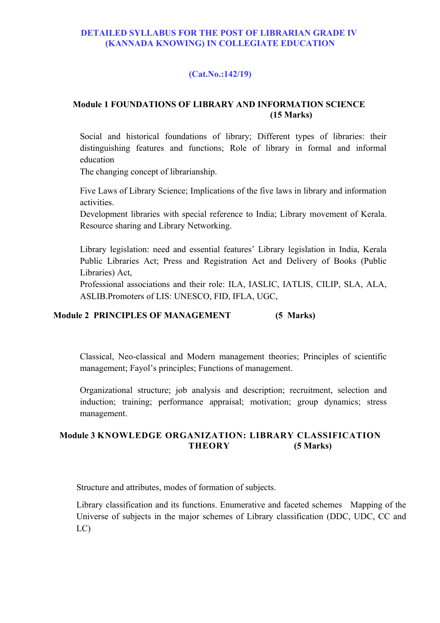#### **DETAILED SYLLABUS FOR THE POST OF LIBRARIAN GRADE IV (KANNADA KNOWING) IN COLLEGIATE EDUCATION**

## **(Cat.No.:142/19)**

## **Module 1 FOUNDATIONS OF LIBRARY AND INFORMATION SCIENCE (15 Marks)**

Social and historical foundations of library; Different types of libraries: their distinguishing features and functions; Role of library in formal and informal education

The changing concept of librarianship.

Five Laws of Library Science; Implications of the five laws in library and information activities.

Development libraries with special reference to India; Library movement of Kerala. Resource sharing and Library Networking.

Library legislation: need and essential features' Library legislation in India, Kerala Public Libraries Act; Press and Registration Act and Delivery of Books (Public Libraries) Act,

Professional associations and their role: ILA, IASLIC, IATLIS, CILIP, SLA, ALA, ASLIB.Promoters of LIS: UNESCO, FID, IFLA, UGC,

## **Module 2 PRINCIPLES OF MANAGEMENT (5 Marks)**

Classical, Neo-classical and Modern management theories; Principles of scientific management; Fayol's principles; Functions of management.

Organizational structure; job analysis and description; recruitment, selection and induction; training; performance appraisal; motivation; group dynamics; stress management.

## **Module 3 KNOWLEDGE ORGANIZATION: LIBRARY CLASSIFICATION THEORY (5 Marks)**

Structure and attributes, modes of formation of subjects.

Library classification and its functions. Enumerative and faceted schemes Mapping of the Universe of subjects in the major schemes of Library classification (DDC, UDC, CC and LC)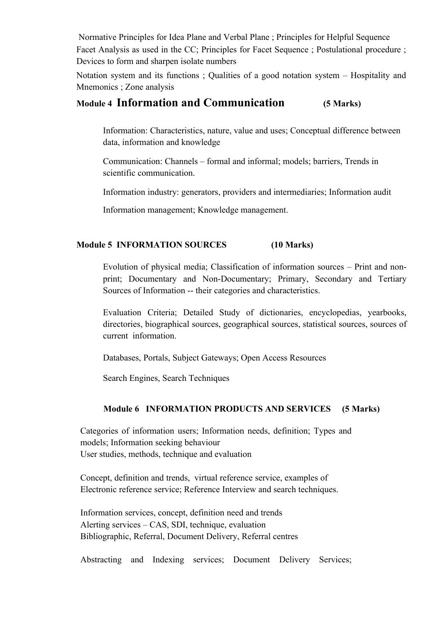Normative Principles for Idea Plane and Verbal Plane ; Principles for Helpful Sequence Facet Analysis as used in the CC; Principles for Facet Sequence ; Postulational procedure ; Devices to form and sharpen isolate numbers

Notation system and its functions ; Qualities of a good notation system – Hospitality and Mnemonics ; Zone analysis

## **Module 4 Information and Communication (5 Marks)**

Information: Characteristics, nature, value and uses; Conceptual difference between data, information and knowledge

Communication: Channels – formal and informal; models; barriers, Trends in scientific communication.

Information industry: generators, providers and intermediaries; Information audit

Information management; Knowledge management.

## **Module 5 INFORMATION SOURCES (10 Marks)**

Evolution of physical media; Classification of information sources – Print and nonprint; Documentary and Non-Documentary; Primary, Secondary and Tertiary Sources of Information -- their categories and characteristics.

Evaluation Criteria; Detailed Study of dictionaries, encyclopedias, yearbooks, directories, biographical sources, geographical sources, statistical sources, sources of current information.

Databases, Portals, Subject Gateways; Open Access Resources

Search Engines, Search Techniques

#### **Module 6 INFORMATION PRODUCTS AND SERVICES (5 Marks)**

Categories of information users; Information needs, definition; Types and models; Information seeking behaviour User studies, methods, technique and evaluation

Concept, definition and trends, virtual reference service, examples of Electronic reference service; Reference Interview and search techniques.

Information services, concept, definition need and trends Alerting services – CAS, SDI, technique, evaluation Bibliographic, Referral, Document Delivery, Referral centres

Abstracting and Indexing services; Document Delivery Services;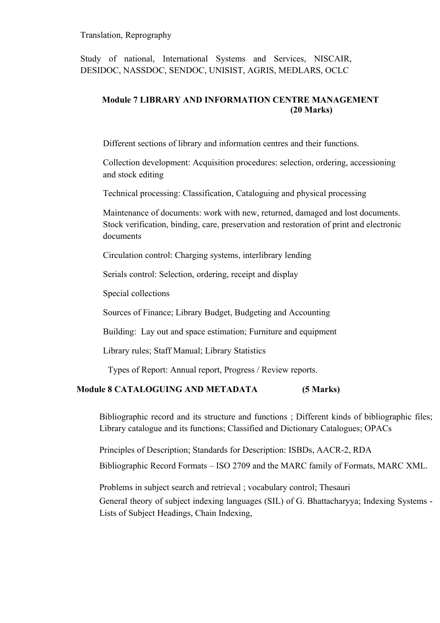#### Translation, Reprography

Study of national, International Systems and Services, NISCAIR, DESIDOC, NASSDOC, SENDOC, UNISIST, AGRIS, MEDLARS, OCLC

## **Module 7 LIBRARY AND INFORMATION CENTRE MANAGEMENT (20 Marks)**

Different sections of library and information centres and their functions.

Collection development: Acquisition procedures: selection, ordering, accessioning and stock editing

Technical processing: Classification, Cataloguing and physical processing

Maintenance of documents: work with new, returned, damaged and lost documents. Stock verification, binding, care, preservation and restoration of print and electronic documents

Circulation control: Charging systems, interlibrary lending

Serials control: Selection, ordering, receipt and display

Special collections

Sources of Finance; Library Budget, Budgeting and Accounting

Building: Lay out and space estimation; Furniture and equipment

Library rules; Staff Manual; Library Statistics

Types of Report: Annual report, Progress / Review reports.

## **Module 8 CATALOGUING AND METADATA (5 Marks)**

Bibliographic record and its structure and functions ; Different kinds of bibliographic files; Library catalogue and its functions; Classified and Dictionary Catalogues; OPACs

Principles of Description; Standards for Description: ISBDs, AACR-2, RDA

Bibliographic Record Formats – ISO 2709 and the MARC family of Formats, MARC XML.

Problems in subject search and retrieval ; vocabulary control; Thesauri

General theory of subject indexing languages (SIL) of G. Bhattacharyya; Indexing Systems - Lists of Subject Headings, Chain Indexing,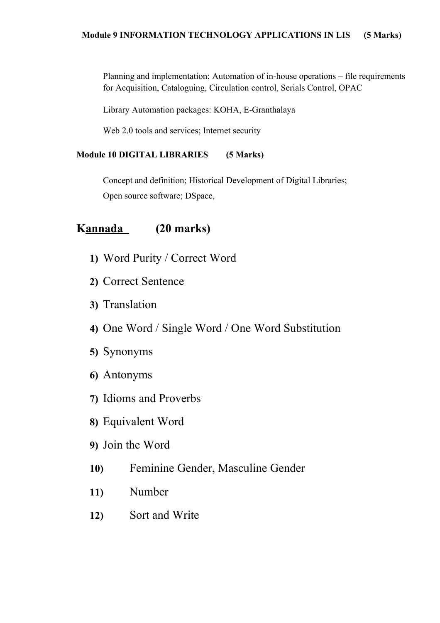Planning and implementation; Automation of in-house operations – file requirements for Acquisition, Cataloguing, Circulation control, Serials Control, OPAC

Library Automation packages: KOHA, E-Granthalaya

Web 2.0 tools and services; Internet security

## **Module 10 DIGITAL LIBRARIES (5 Marks)**

Concept and definition; Historical Development of Digital Libraries; Open source software; DSpace,

# **Kannada (20 marks)**

- **1)** Word Purity / Correct Word
- **2)** Correct Sentence
- **3)** Translation
- **4)** One Word / Single Word / One Word Substitution
- **5)** Synonyms
- **6)** Antonyms
- **7)** Idioms and Proverbs
- **8)** Equivalent Word
- **9)** Join the Word
- **10)** Feminine Gender, Masculine Gender
- **11)** Number
- **12)** Sort and Write